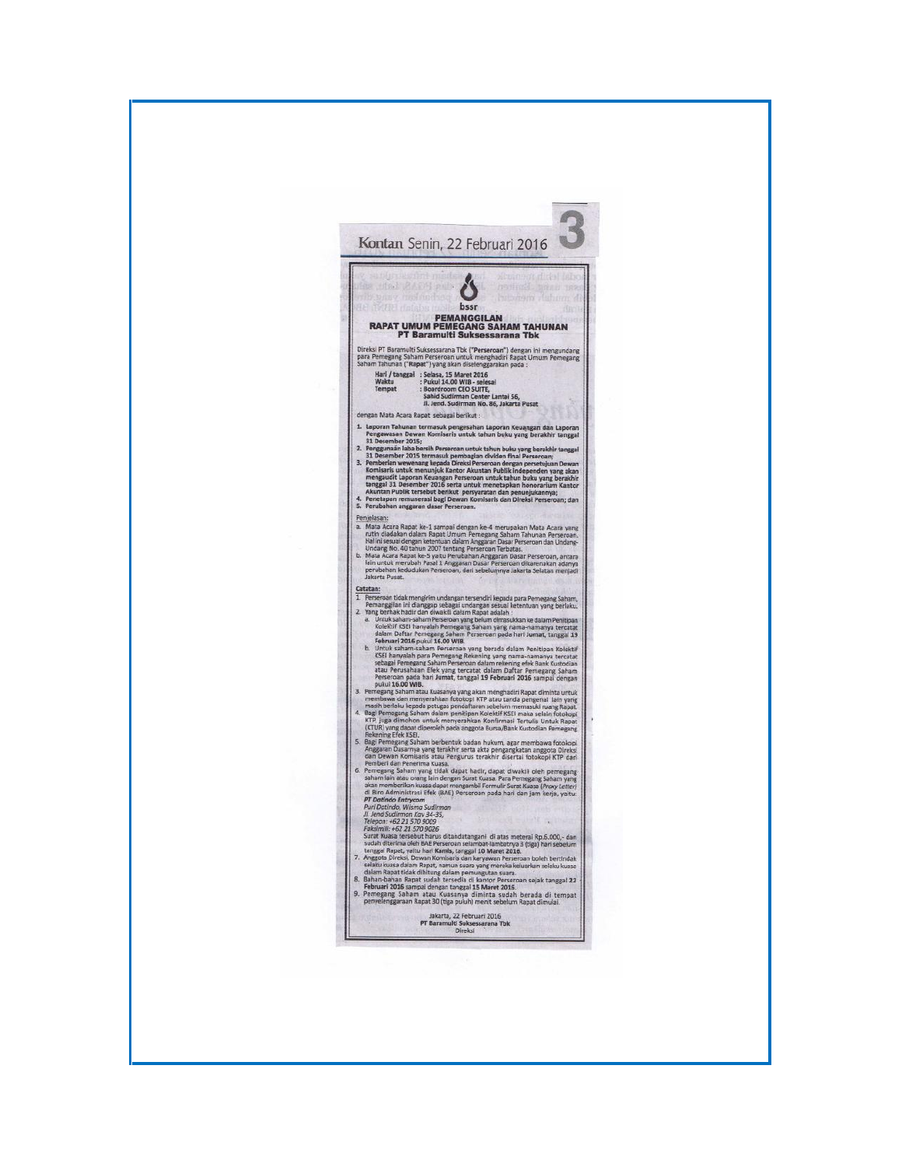